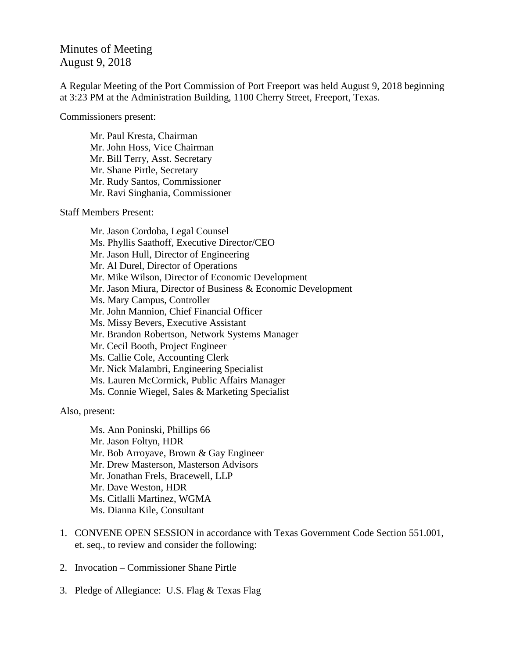## Minutes of Meeting August 9, 2018

A Regular Meeting of the Port Commission of Port Freeport was held August 9, 2018 beginning at 3:23 PM at the Administration Building, 1100 Cherry Street, Freeport, Texas.

Commissioners present:

Mr. Paul Kresta, Chairman Mr. John Hoss, Vice Chairman Mr. Bill Terry, Asst. Secretary Mr. Shane Pirtle, Secretary Mr. Rudy Santos, Commissioner Mr. Ravi Singhania, Commissioner

Staff Members Present:

Mr. Jason Cordoba, Legal Counsel Ms. Phyllis Saathoff, Executive Director/CEO Mr. Jason Hull, Director of Engineering Mr. Al Durel, Director of Operations Mr. Mike Wilson, Director of Economic Development Mr. Jason Miura, Director of Business & Economic Development Ms. Mary Campus, Controller Mr. John Mannion, Chief Financial Officer Ms. Missy Bevers, Executive Assistant Mr. Brandon Robertson, Network Systems Manager Mr. Cecil Booth, Project Engineer Ms. Callie Cole, Accounting Clerk Mr. Nick Malambri, Engineering Specialist Ms. Lauren McCormick, Public Affairs Manager Ms. Connie Wiegel, Sales & Marketing Specialist

Also, present:

Ms. Ann Poninski, Phillips 66 Mr. Jason Foltyn, HDR Mr. Bob Arroyave, Brown & Gay Engineer Mr. Drew Masterson, Masterson Advisors Mr. Jonathan Frels, Bracewell, LLP Mr. Dave Weston, HDR Ms. Citlalli Martinez, WGMA Ms. Dianna Kile, Consultant

- 1. CONVENE OPEN SESSION in accordance with Texas Government Code Section 551.001, et. seq., to review and consider the following:
- 2. Invocation Commissioner Shane Pirtle
- 3. Pledge of Allegiance: U.S. Flag & Texas Flag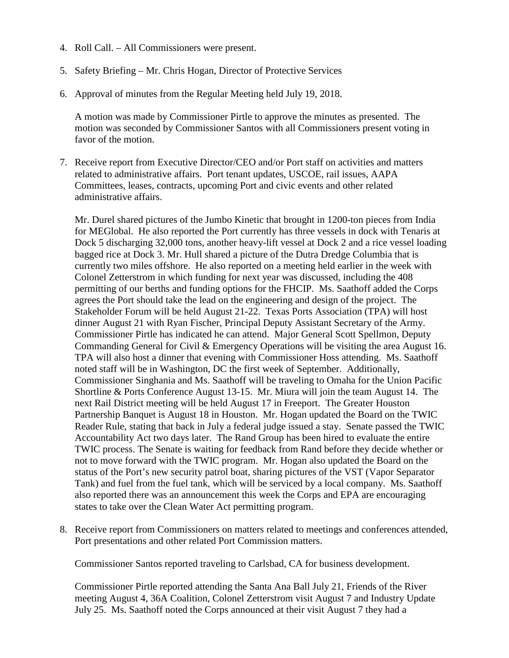- 4. Roll Call. All Commissioners were present.
- 5. Safety Briefing Mr. Chris Hogan, Director of Protective Services
- 6. Approval of minutes from the Regular Meeting held July 19, 2018.

A motion was made by Commissioner Pirtle to approve the minutes as presented. The motion was seconded by Commissioner Santos with all Commissioners present voting in favor of the motion.

7. Receive report from Executive Director/CEO and/or Port staff on activities and matters related to administrative affairs. Port tenant updates, USCOE, rail issues, AAPA Committees, leases, contracts, upcoming Port and civic events and other related administrative affairs.

Mr. Durel shared pictures of the Jumbo Kinetic that brought in 1200-ton pieces from India for MEGlobal. He also reported the Port currently has three vessels in dock with Tenaris at Dock 5 discharging 32,000 tons, another heavy-lift vessel at Dock 2 and a rice vessel loading bagged rice at Dock 3. Mr. Hull shared a picture of the Dutra Dredge Columbia that is currently two miles offshore. He also reported on a meeting held earlier in the week with Colonel Zetterstrom in which funding for next year was discussed, including the 408 permitting of our berths and funding options for the FHCIP. Ms. Saathoff added the Corps agrees the Port should take the lead on the engineering and design of the project. The Stakeholder Forum will be held August 21-22. Texas Ports Association (TPA) will host dinner August 21 with Ryan Fischer, Principal Deputy Assistant Secretary of the Army. Commissioner Pirtle has indicated he can attend. Major General Scott Spellmon, Deputy Commanding General for Civil & Emergency Operations will be visiting the area August 16. TPA will also host a dinner that evening with Commissioner Hoss attending. Ms. Saathoff noted staff will be in Washington, DC the first week of September. Additionally, Commissioner Singhania and Ms. Saathoff will be traveling to Omaha for the Union Pacific Shortline & Ports Conference August 13-15. Mr. Miura will join the team August 14. The next Rail District meeting will be held August 17 in Freeport. The Greater Houston Partnership Banquet is August 18 in Houston. Mr. Hogan updated the Board on the TWIC Reader Rule, stating that back in July a federal judge issued a stay. Senate passed the TWIC Accountability Act two days later. The Rand Group has been hired to evaluate the entire TWIC process. The Senate is waiting for feedback from Rand before they decide whether or not to move forward with the TWIC program. Mr. Hogan also updated the Board on the status of the Port's new security patrol boat, sharing pictures of the VST (Vapor Separator Tank) and fuel from the fuel tank, which will be serviced by a local company. Ms. Saathoff also reported there was an announcement this week the Corps and EPA are encouraging states to take over the Clean Water Act permitting program.

8. Receive report from Commissioners on matters related to meetings and conferences attended, Port presentations and other related Port Commission matters.

Commissioner Santos reported traveling to Carlsbad, CA for business development.

Commissioner Pirtle reported attending the Santa Ana Ball July 21, Friends of the River meeting August 4, 36A Coalition, Colonel Zetterstrom visit August 7 and Industry Update July 25. Ms. Saathoff noted the Corps announced at their visit August 7 they had a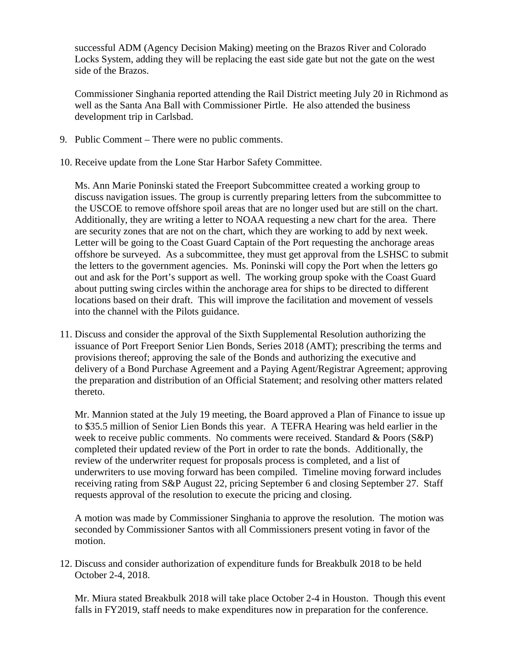successful ADM (Agency Decision Making) meeting on the Brazos River and Colorado Locks System, adding they will be replacing the east side gate but not the gate on the west side of the Brazos.

Commissioner Singhania reported attending the Rail District meeting July 20 in Richmond as well as the Santa Ana Ball with Commissioner Pirtle. He also attended the business development trip in Carlsbad.

- 9. Public Comment There were no public comments.
- 10. Receive update from the Lone Star Harbor Safety Committee.

Ms. Ann Marie Poninski stated the Freeport Subcommittee created a working group to discuss navigation issues. The group is currently preparing letters from the subcommittee to the USCOE to remove offshore spoil areas that are no longer used but are still on the chart. Additionally, they are writing a letter to NOAA requesting a new chart for the area. There are security zones that are not on the chart, which they are working to add by next week. Letter will be going to the Coast Guard Captain of the Port requesting the anchorage areas offshore be surveyed. As a subcommittee, they must get approval from the LSHSC to submit the letters to the government agencies. Ms. Poninski will copy the Port when the letters go out and ask for the Port's support as well. The working group spoke with the Coast Guard about putting swing circles within the anchorage area for ships to be directed to different locations based on their draft. This will improve the facilitation and movement of vessels into the channel with the Pilots guidance.

11. Discuss and consider the approval of the Sixth Supplemental Resolution authorizing the issuance of Port Freeport Senior Lien Bonds, Series 2018 (AMT); prescribing the terms and provisions thereof; approving the sale of the Bonds and authorizing the executive and delivery of a Bond Purchase Agreement and a Paying Agent/Registrar Agreement; approving the preparation and distribution of an Official Statement; and resolving other matters related thereto.

Mr. Mannion stated at the July 19 meeting, the Board approved a Plan of Finance to issue up to \$35.5 million of Senior Lien Bonds this year. A TEFRA Hearing was held earlier in the week to receive public comments. No comments were received. Standard & Poors (S&P) completed their updated review of the Port in order to rate the bonds. Additionally, the review of the underwriter request for proposals process is completed, and a list of underwriters to use moving forward has been compiled. Timeline moving forward includes receiving rating from S&P August 22, pricing September 6 and closing September 27. Staff requests approval of the resolution to execute the pricing and closing.

A motion was made by Commissioner Singhania to approve the resolution. The motion was seconded by Commissioner Santos with all Commissioners present voting in favor of the motion.

12. Discuss and consider authorization of expenditure funds for Breakbulk 2018 to be held October 2-4, 2018.

Mr. Miura stated Breakbulk 2018 will take place October 2-4 in Houston. Though this event falls in FY2019, staff needs to make expenditures now in preparation for the conference.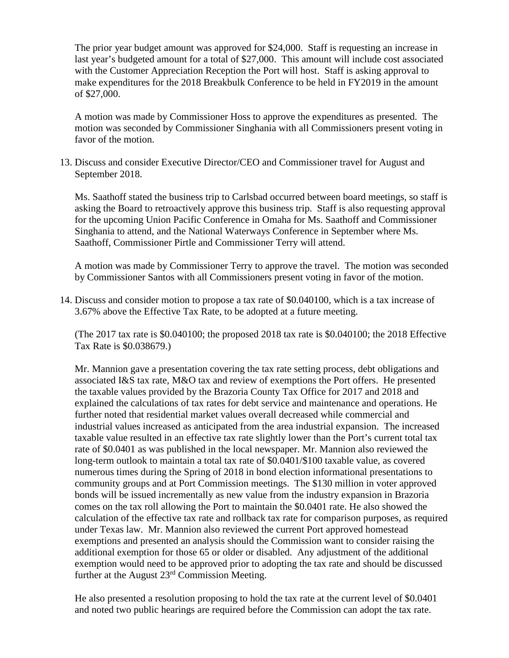The prior year budget amount was approved for \$24,000. Staff is requesting an increase in last year's budgeted amount for a total of \$27,000. This amount will include cost associated with the Customer Appreciation Reception the Port will host. Staff is asking approval to make expenditures for the 2018 Breakbulk Conference to be held in FY2019 in the amount of \$27,000.

A motion was made by Commissioner Hoss to approve the expenditures as presented. The motion was seconded by Commissioner Singhania with all Commissioners present voting in favor of the motion.

13. Discuss and consider Executive Director/CEO and Commissioner travel for August and September 2018.

Ms. Saathoff stated the business trip to Carlsbad occurred between board meetings, so staff is asking the Board to retroactively approve this business trip. Staff is also requesting approval for the upcoming Union Pacific Conference in Omaha for Ms. Saathoff and Commissioner Singhania to attend, and the National Waterways Conference in September where Ms. Saathoff, Commissioner Pirtle and Commissioner Terry will attend.

A motion was made by Commissioner Terry to approve the travel. The motion was seconded by Commissioner Santos with all Commissioners present voting in favor of the motion.

14. Discuss and consider motion to propose a tax rate of \$0.040100, which is a tax increase of 3.67% above the Effective Tax Rate, to be adopted at a future meeting.

(The 2017 tax rate is \$0.040100; the proposed 2018 tax rate is \$0.040100; the 2018 Effective Tax Rate is \$0.038679.)

Mr. Mannion gave a presentation covering the tax rate setting process, debt obligations and associated I&S tax rate, M&O tax and review of exemptions the Port offers. He presented the taxable values provided by the Brazoria County Tax Office for 2017 and 2018 and explained the calculations of tax rates for debt service and maintenance and operations. He further noted that residential market values overall decreased while commercial and industrial values increased as anticipated from the area industrial expansion. The increased taxable value resulted in an effective tax rate slightly lower than the Port's current total tax rate of \$0.0401 as was published in the local newspaper. Mr. Mannion also reviewed the long-term outlook to maintain a total tax rate of \$0.0401/\$100 taxable value, as covered numerous times during the Spring of 2018 in bond election informational presentations to community groups and at Port Commission meetings. The \$130 million in voter approved bonds will be issued incrementally as new value from the industry expansion in Brazoria comes on the tax roll allowing the Port to maintain the \$0.0401 rate. He also showed the calculation of the effective tax rate and rollback tax rate for comparison purposes, as required under Texas law. Mr. Mannion also reviewed the current Port approved homestead exemptions and presented an analysis should the Commission want to consider raising the additional exemption for those 65 or older or disabled. Any adjustment of the additional exemption would need to be approved prior to adopting the tax rate and should be discussed further at the August  $23<sup>rd</sup>$  Commission Meeting.

He also presented a resolution proposing to hold the tax rate at the current level of \$0.0401 and noted two public hearings are required before the Commission can adopt the tax rate.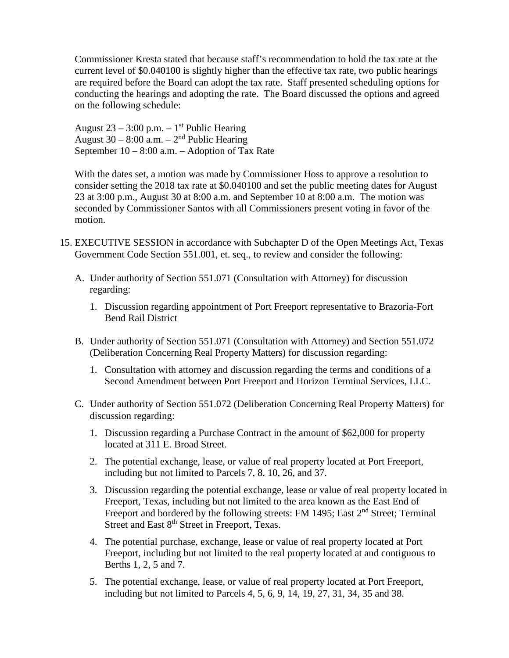Commissioner Kresta stated that because staff's recommendation to hold the tax rate at the current level of \$0.040100 is slightly higher than the effective tax rate, two public hearings are required before the Board can adopt the tax rate. Staff presented scheduling options for conducting the hearings and adopting the rate. The Board discussed the options and agreed on the following schedule:

August  $23 - 3:00$  p.m.  $-1<sup>st</sup>$  Public Hearing August 30 – 8:00 a.m. –  $2<sup>nd</sup>$  Public Hearing September 10 – 8:00 a.m. – Adoption of Tax Rate

With the dates set, a motion was made by Commissioner Hoss to approve a resolution to consider setting the 2018 tax rate at \$0.040100 and set the public meeting dates for August 23 at 3:00 p.m., August 30 at 8:00 a.m. and September 10 at 8:00 a.m. The motion was seconded by Commissioner Santos with all Commissioners present voting in favor of the motion.

- 15. EXECUTIVE SESSION in accordance with Subchapter D of the Open Meetings Act, Texas Government Code Section 551.001, et. seq., to review and consider the following:
	- A. Under authority of Section 551.071 (Consultation with Attorney) for discussion regarding:
		- 1. Discussion regarding appointment of Port Freeport representative to Brazoria-Fort Bend Rail District
	- B. Under authority of Section 551.071 (Consultation with Attorney) and Section 551.072 (Deliberation Concerning Real Property Matters) for discussion regarding:
		- 1. Consultation with attorney and discussion regarding the terms and conditions of a Second Amendment between Port Freeport and Horizon Terminal Services, LLC.
	- C. Under authority of Section 551.072 (Deliberation Concerning Real Property Matters) for discussion regarding:
		- 1. Discussion regarding a Purchase Contract in the amount of \$62,000 for property located at 311 E. Broad Street.
		- 2. The potential exchange, lease, or value of real property located at Port Freeport, including but not limited to Parcels 7, 8, 10, 26, and 37.
		- 3. Discussion regarding the potential exchange, lease or value of real property located in Freeport, Texas, including but not limited to the area known as the East End of Freeport and bordered by the following streets: FM 1495; East 2<sup>nd</sup> Street; Terminal Street and East 8<sup>th</sup> Street in Freeport, Texas.
		- 4. The potential purchase, exchange, lease or value of real property located at Port Freeport, including but not limited to the real property located at and contiguous to Berths 1, 2, 5 and 7.
		- 5. The potential exchange, lease, or value of real property located at Port Freeport, including but not limited to Parcels 4, 5, 6, 9, 14, 19, 27, 31, 34, 35 and 38.